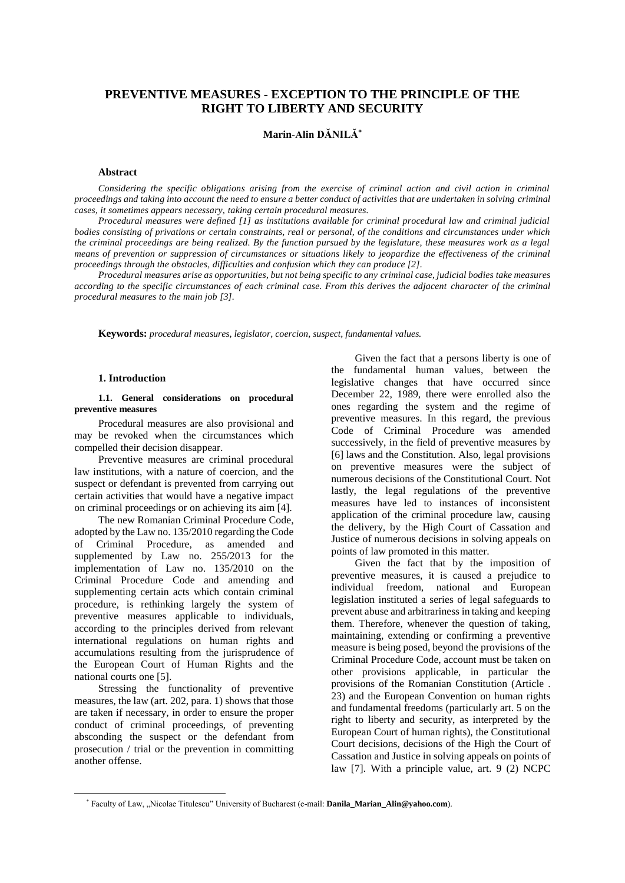# **PREVENTIVE MEASURES - EXCEPTION TO THE PRINCIPLE OF THE RIGHT TO LIBERTY AND SECURITY**

## **Marin-Alin DĂNILĂ\***

## **Abstract**

*Considering the specific obligations arising from the exercise of criminal action and civil action in criminal proceedings and taking into account the need to ensure a better conduct of activities that are undertaken in solving criminal cases, it sometimes appears necessary, taking certain procedural measures.*

*Procedural measures were defined [1] as institutions available for criminal procedural law and criminal judicial bodies consisting of privations or certain constraints, real or personal, of the conditions and circumstances under which the criminal proceedings are being realized. By the function pursued by the legislature, these measures work as a legal means of prevention or suppression of circumstances or situations likely to jeopardize the effectiveness of the criminal proceedings through the obstacles, difficulties and confusion which they can produce [2].*

*Procedural measures arise as opportunities, but not being specific to any criminal case, judicial bodies take measures according to the specific circumstances of each criminal case. From this derives the adjacent character of the criminal procedural measures to the main job [3].*

**Keywords:** *procedural measures, legislator, coercion, suspect, fundamental values.*

#### **1. Introduction**

#### **1.1. General considerations on procedural preventive measures**

Procedural measures are also provisional and may be revoked when the circumstances which compelled their decision disappear.

Preventive measures are criminal procedural law institutions, with a nature of coercion, and the suspect or defendant is prevented from carrying out certain activities that would have a negative impact on criminal proceedings or on achieving its aim [4].

The new Romanian Criminal Procedure Code, adopted by the Law no. 135/2010 regarding the Code of Criminal Procedure, as amended and supplemented by Law no. 255/2013 for the implementation of Law no. 135/2010 on the Criminal Procedure Code and amending and supplementing certain acts which contain criminal procedure, is rethinking largely the system of preventive measures applicable to individuals, according to the principles derived from relevant international regulations on human rights and accumulations resulting from the jurisprudence of the European Court of Human Rights and the national courts one [5].

Stressing the functionality of preventive measures, the law (art. 202, para. 1) shows that those are taken if necessary, in order to ensure the proper conduct of criminal proceedings, of preventing absconding the suspect or the defendant from prosecution / trial or the prevention in committing another offense.

Given the fact that a persons liberty is one of the fundamental human values, between the legislative changes that have occurred since December 22, 1989, there were enrolled also the ones regarding the system and the regime of preventive measures. In this regard, the previous Code of Criminal Procedure was amended successively, in the field of preventive measures by [6] laws and the Constitution. Also, legal provisions on preventive measures were the subject of numerous decisions of the Constitutional Court. Not lastly, the legal regulations of the preventive measures have led to instances of inconsistent application of the criminal procedure law, causing the delivery, by the High Court of Cassation and Justice of numerous decisions in solving appeals on points of law promoted in this matter.

Given the fact that by the imposition of preventive measures, it is caused a prejudice to individual freedom, national and European legislation instituted a series of legal safeguards to prevent abuse and arbitrariness in taking and keeping them. Therefore, whenever the question of taking, maintaining, extending or confirming a preventive measure is being posed, beyond the provisions of the Criminal Procedure Code, account must be taken on other provisions applicable, in particular the provisions of the Romanian Constitution (Article . 23) and the European Convention on human rights and fundamental freedoms (particularly art. 5 on the right to liberty and security, as interpreted by the European Court of human rights), the Constitutional Court decisions, decisions of the High the Court of Cassation and Justice in solving appeals on points of law [7]. With a principle value, art. 9 (2) NCPC

<sup>\*</sup> Faculty of Law, "Nicolae Titulescu" University of Bucharest (e-mail: **Danila\_Marian\_Alin@yahoo.com**).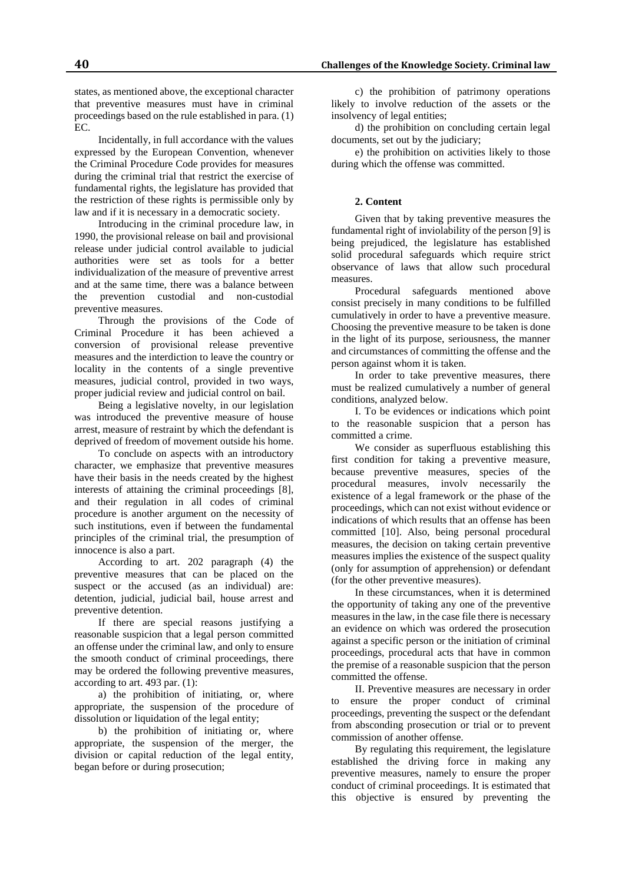states, as mentioned above, the exceptional character that preventive measures must have in criminal proceedings based on the rule established in para. (1) EC.

Incidentally, in full accordance with the values expressed by the European Convention, whenever the Criminal Procedure Code provides for measures during the criminal trial that restrict the exercise of fundamental rights, the legislature has provided that the restriction of these rights is permissible only by law and if it is necessary in a democratic society.

Introducing in the criminal procedure law, in 1990, the provisional release on bail and provisional release under judicial control available to judicial authorities were set as tools for a better individualization of the measure of preventive arrest and at the same time, there was a balance between the prevention custodial and non-custodial preventive measures.

Through the provisions of the Code of Criminal Procedure it has been achieved a conversion of provisional release preventive measures and the interdiction to leave the country or locality in the contents of a single preventive measures, judicial control, provided in two ways, proper judicial review and judicial control on bail.

Being a legislative novelty, in our legislation was introduced the preventive measure of house arrest, measure of restraint by which the defendant is deprived of freedom of movement outside his home.

To conclude on aspects with an introductory character, we emphasize that preventive measures have their basis in the needs created by the highest interests of attaining the criminal proceedings [8], and their regulation in all codes of criminal procedure is another argument on the necessity of such institutions, even if between the fundamental principles of the criminal trial, the presumption of innocence is also a part.

According to art. 202 paragraph (4) the preventive measures that can be placed on the suspect or the accused (as an individual) are: detention, judicial, judicial bail, house arrest and preventive detention.

If there are special reasons justifying a reasonable suspicion that a legal person committed an offense under the criminal law, and only to ensure the smooth conduct of criminal proceedings, there may be ordered the following preventive measures, according to art. 493 par. (1):

a) the prohibition of initiating, or, where appropriate, the suspension of the procedure of dissolution or liquidation of the legal entity;

b) the prohibition of initiating or, where appropriate, the suspension of the merger, the division or capital reduction of the legal entity, began before or during prosecution;

c) the prohibition of patrimony operations likely to involve reduction of the assets or the insolvency of legal entities;

d) the prohibition on concluding certain legal documents, set out by the judiciary;

e) the prohibition on activities likely to those during which the offense was committed.

## **2. Content**

Given that by taking preventive measures the fundamental right of inviolability of the person [9] is being prejudiced, the legislature has established solid procedural safeguards which require strict observance of laws that allow such procedural measures.

Procedural safeguards mentioned above consist precisely in many conditions to be fulfilled cumulatively in order to have a preventive measure. Choosing the preventive measure to be taken is done in the light of its purpose, seriousness, the manner and circumstances of committing the offense and the person against whom it is taken.

In order to take preventive measures, there must be realized cumulatively a number of general conditions, analyzed below.

I. To be evidences or indications which point to the reasonable suspicion that a person has committed a crime.

We consider as superfluous establishing this first condition for taking a preventive measure, because preventive measures, species of the procedural measures, involv necessarily the existence of a legal framework or the phase of the proceedings, which can not exist without evidence or indications of which results that an offense has been committed [10]. Also, being personal procedural measures, the decision on taking certain preventive measures implies the existence of the suspect quality (only for assumption of apprehension) or defendant (for the other preventive measures).

In these circumstances, when it is determined the opportunity of taking any one of the preventive measures in the law, in the case file there is necessary an evidence on which was ordered the prosecution against a specific person or the initiation of criminal proceedings, procedural acts that have in common the premise of a reasonable suspicion that the person committed the offense.

II. Preventive measures are necessary in order to ensure the proper conduct of criminal proceedings, preventing the suspect or the defendant from absconding prosecution or trial or to prevent commission of another offense.

By regulating this requirement, the legislature established the driving force in making any preventive measures, namely to ensure the proper conduct of criminal proceedings. It is estimated that this objective is ensured by preventing the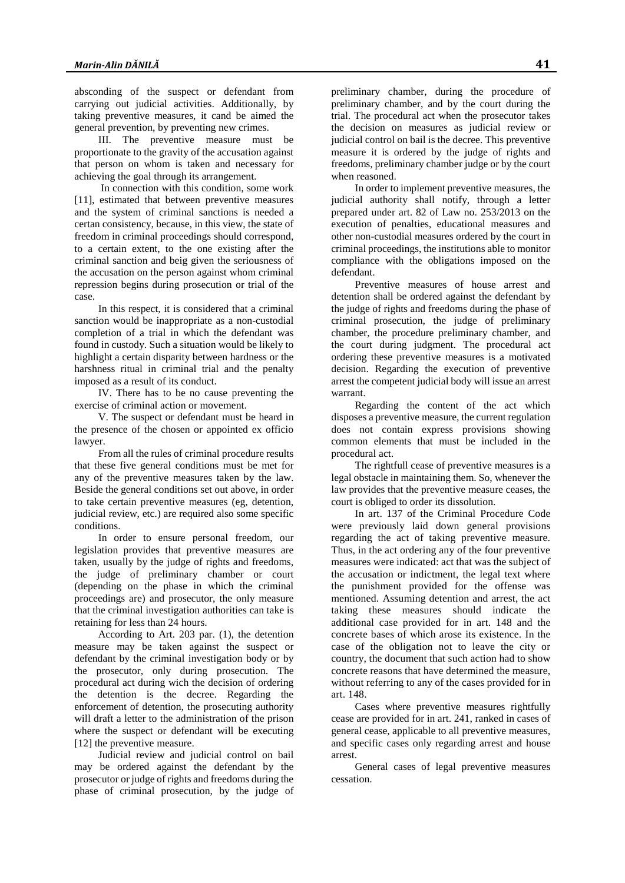absconding of the suspect or defendant from carrying out judicial activities. Additionally, by taking preventive measures, it cand be aimed the general prevention, by preventing new crimes.

III. The preventive measure must be proportionate to the gravity of the accusation against that person on whom is taken and necessary for achieving the goal through its arrangement.

In connection with this condition, some work [11], estimated that between preventive measures and the system of criminal sanctions is needed a certan consistency, because, in this view, the state of freedom in criminal proceedings should correspond, to a certain extent, to the one existing after the criminal sanction and beig given the seriousness of the accusation on the person against whom criminal repression begins during prosecution or trial of the case.

In this respect, it is considered that a criminal sanction would be inappropriate as a non-custodial completion of a trial in which the defendant was found in custody. Such a situation would be likely to highlight a certain disparity between hardness or the harshness ritual in criminal trial and the penalty imposed as a result of its conduct.

IV. There has to be no cause preventing the exercise of criminal action or movement.

V. The suspect or defendant must be heard in the presence of the chosen or appointed ex officio lawyer.

From all the rules of criminal procedure results that these five general conditions must be met for any of the preventive measures taken by the law. Beside the general conditions set out above, in order to take certain preventive measures (eg, detention, judicial review, etc.) are required also some specific conditions.

In order to ensure personal freedom, our legislation provides that preventive measures are taken, usually by the judge of rights and freedoms, the judge of preliminary chamber or court (depending on the phase in which the criminal proceedings are) and prosecutor, the only measure that the criminal investigation authorities can take is retaining for less than 24 hours.

According to Art. 203 par. (1), the detention measure may be taken against the suspect or defendant by the criminal investigation body or by the prosecutor, only during prosecution. The procedural act during wich the decision of ordering the detention is the decree. Regarding the enforcement of detention, the prosecuting authority will draft a letter to the administration of the prison where the suspect or defendant will be executing [12] the preventive measure.

Judicial review and judicial control on bail may be ordered against the defendant by the prosecutor or judge of rights and freedoms during the phase of criminal prosecution, by the judge of

preliminary chamber, during the procedure of preliminary chamber, and by the court during the trial. The procedural act when the prosecutor takes the decision on measures as judicial review or judicial control on bail is the decree. This preventive measure it is ordered by the judge of rights and freedoms, preliminary chamber judge or by the court when reasoned.

In order to implement preventive measures, the judicial authority shall notify, through a letter prepared under art. 82 of Law no. 253/2013 on the execution of penalties, educational measures and other non-custodial measures ordered by the court in criminal proceedings, the institutions able to monitor compliance with the obligations imposed on the defendant.

Preventive measures of house arrest and detention shall be ordered against the defendant by the judge of rights and freedoms during the phase of criminal prosecution, the judge of preliminary chamber, the procedure preliminary chamber, and the court during judgment. The procedural act ordering these preventive measures is a motivated decision. Regarding the execution of preventive arrest the competent judicial body will issue an arrest warrant.

Regarding the content of the act which disposes a preventive measure, the current regulation does not contain express provisions showing common elements that must be included in the procedural act.

The rightfull cease of preventive measures is a legal obstacle in maintaining them. So, whenever the law provides that the preventive measure ceases, the court is obliged to order its dissolution.

In art. 137 of the Criminal Procedure Code were previously laid down general provisions regarding the act of taking preventive measure. Thus, in the act ordering any of the four preventive measures were indicated: act that was the subject of the accusation or indictment, the legal text where the punishment provided for the offense was mentioned. Assuming detention and arrest, the act taking these measures should indicate the additional case provided for in art. 148 and the concrete bases of which arose its existence. In the case of the obligation not to leave the city or country, the document that such action had to show concrete reasons that have determined the measure, without referring to any of the cases provided for in art. 148.

Cases where preventive measures rightfully cease are provided for in art. 241, ranked in cases of general cease, applicable to all preventive measures, and specific cases only regarding arrest and house arrest.

General cases of legal preventive measures cessation.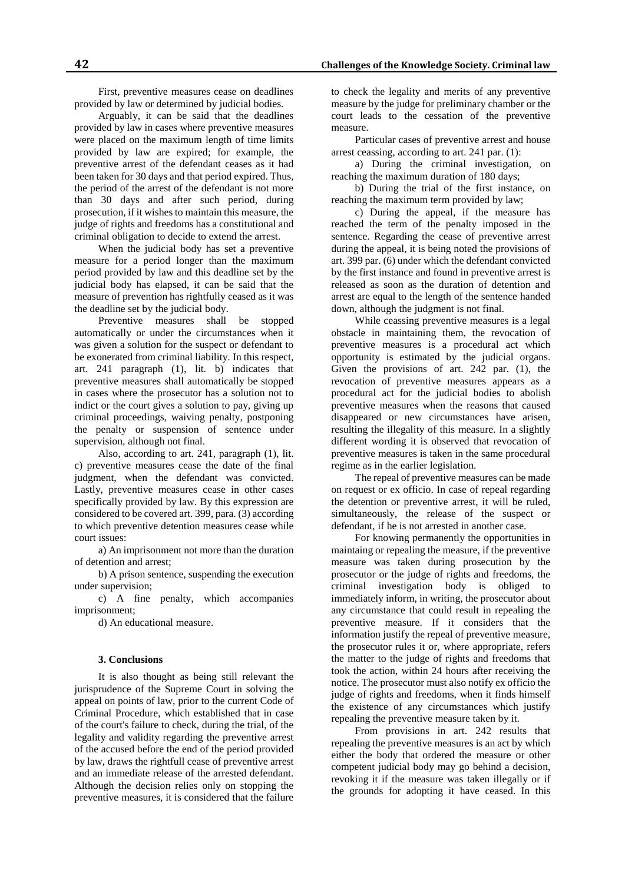First, preventive measures cease on deadlines provided by law or determined by judicial bodies.

Arguably, it can be said that the deadlines provided by law in cases where preventive measures were placed on the maximum length of time limits provided by law are expired; for example, the preventive arrest of the defendant ceases as it had been taken for 30 days and that period expired. Thus, the period of the arrest of the defendant is not more than 30 days and after such period, during prosecution, if it wishes to maintain this measure, the judge of rights and freedoms has a constitutional and criminal obligation to decide to extend the arrest.

When the judicial body has set a preventive measure for a period longer than the maximum period provided by law and this deadline set by the judicial body has elapsed, it can be said that the measure of prevention has rightfully ceased as it was the deadline set by the judicial body.

Preventive measures shall be stopped automatically or under the circumstances when it was given a solution for the suspect or defendant to be exonerated from criminal liability. In this respect, art. 241 paragraph (1), lit. b) indicates that preventive measures shall automatically be stopped in cases where the prosecutor has a solution not to indict or the court gives a solution to pay, giving up criminal proceedings, waiving penalty, postponing the penalty or suspension of sentence under supervision, although not final.

Also, according to art. 241, paragraph (1), lit. c) preventive measures cease the date of the final judgment, when the defendant was convicted. Lastly, preventive measures cease in other cases specifically provided by law. By this expression are considered to be covered art. 399, para. (3) according to which preventive detention measures cease while court issues:

a) An imprisonment not more than the duration of detention and arrest;

b) A prison sentence, suspending the execution under supervision;

c) A fine penalty, which accompanies imprisonment;

d) An educational measure.

## **3. Conclusions**

It is also thought as being still relevant the jurisprudence of the Supreme Court in solving the appeal on points of law, prior to the current Code of Criminal Procedure, which established that in case of the court's failure to check, during the trial, of the legality and validity regarding the preventive arrest of the accused before the end of the period provided by law, draws the rightfull cease of preventive arrest and an immediate release of the arrested defendant. Although the decision relies only on stopping the preventive measures, it is considered that the failure

to check the legality and merits of any preventive measure by the judge for preliminary chamber or the court leads to the cessation of the preventive measure.

Particular cases of preventive arrest and house arrest ceassing, according to art. 241 par. (1):

a) During the criminal investigation, on reaching the maximum duration of 180 days;

b) During the trial of the first instance, on reaching the maximum term provided by law;

c) During the appeal, if the measure has reached the term of the penalty imposed in the sentence. Regarding the cease of preventive arrest during the appeal, it is being noted the provisions of art. 399 par. (6) under which the defendant convicted by the first instance and found in preventive arrest is released as soon as the duration of detention and arrest are equal to the length of the sentence handed down, although the judgment is not final.

While ceassing preventive measures is a legal obstacle in maintaining them, the revocation of preventive measures is a procedural act which opportunity is estimated by the judicial organs. Given the provisions of art. 242 par. (1), the revocation of preventive measures appears as a procedural act for the judicial bodies to abolish preventive measures when the reasons that caused disappeared or new circumstances have arisen, resulting the illegality of this measure. In a slightly different wording it is observed that revocation of preventive measures is taken in the same procedural regime as in the earlier legislation.

The repeal of preventive measures can be made on request or ex officio. In case of repeal regarding the detention or preventive arrest, it will be ruled, simultaneously, the release of the suspect or defendant, if he is not arrested in another case.

For knowing permanently the opportunities in maintaing or repealing the measure, if the preventive measure was taken during prosecution by the prosecutor or the judge of rights and freedoms, the criminal investigation body is obliged to immediately inform, in writing, the prosecutor about any circumstance that could result in repealing the preventive measure. If it considers that the information justify the repeal of preventive measure, the prosecutor rules it or, where appropriate, refers the matter to the judge of rights and freedoms that took the action, within 24 hours after receiving the notice. The prosecutor must also notify ex officio the judge of rights and freedoms, when it finds himself the existence of any circumstances which justify repealing the preventive measure taken by it.

From provisions in art. 242 results that repealing the preventive measures is an act by which either the body that ordered the measure or other competent judicial body may go behind a decision, revoking it if the measure was taken illegally or if the grounds for adopting it have ceased. In this